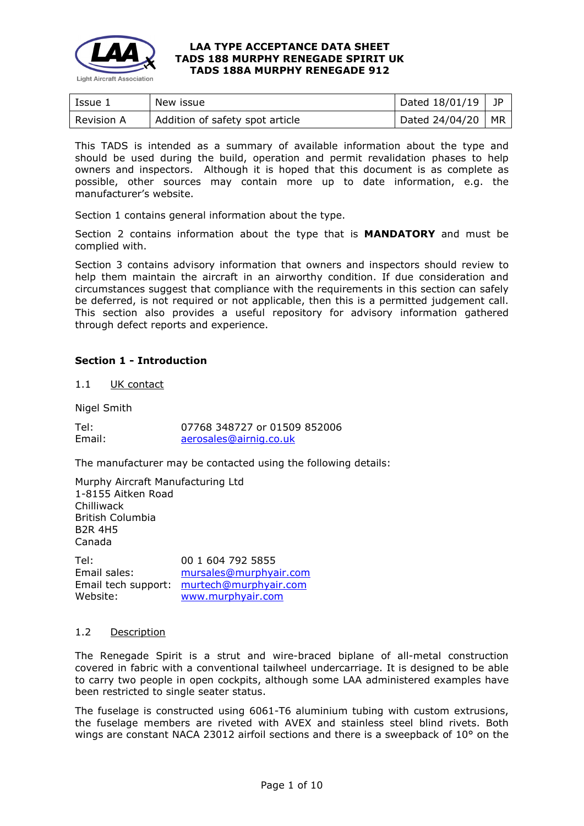

| Issue 1           | New issue                       | Dated 18/01/19 | JP |
|-------------------|---------------------------------|----------------|----|
| <b>Revision A</b> | Addition of safety spot article | Dated 24/04/20 | MR |

This TADS is intended as a summary of available information about the type and should be used during the build, operation and permit revalidation phases to help owners and inspectors. Although it is hoped that this document is as complete as possible, other sources may contain more up to date information, e.g. the manufacturer's website.

Section 1 contains general information about the type.

Section 2 contains information about the type that is **MANDATORY** and must be complied with.

Section 3 contains advisory information that owners and inspectors should review to help them maintain the aircraft in an airworthy condition. If due consideration and circumstances suggest that compliance with the requirements in this section can safely be deferred, is not required or not applicable, then this is a permitted judgement call. This section also provides a useful repository for advisory information gathered through defect reports and experience.

### **Section 1 - Introduction**

1.1 UK contact

Nigel Smith

| Tel:   | 07768 348727 or 01509 852006 |
|--------|------------------------------|
| Email: | aerosales@airnig.co.uk       |

The manufacturer may be contacted using the following details:

Murphy Aircraft Manufacturing Ltd 1-8155 Aitken Road Chilliwack British Columbia B2R 4H5 Canada

Tel: 00 1 604 792 5855 Email sales: [mursales@murphyair.com](mailto:mursales@murphyair.com) Email tech support: [murtech@murphyair.com](mailto:murtech@murphyair.com) Website: [www.murphyair.com](http://www.murphyair.com/)

# 1.2 Description

The Renegade Spirit is a strut and wire-braced biplane of all-metal construction covered in fabric with a conventional tailwheel undercarriage. It is designed to be able to carry two people in open cockpits, although some LAA administered examples have been restricted to single seater status.

The fuselage is constructed using 6061-T6 aluminium tubing with custom extrusions, the fuselage members are riveted with AVEX and stainless steel blind rivets. Both wings are constant NACA 23012 airfoil sections and there is a sweepback of 10° on the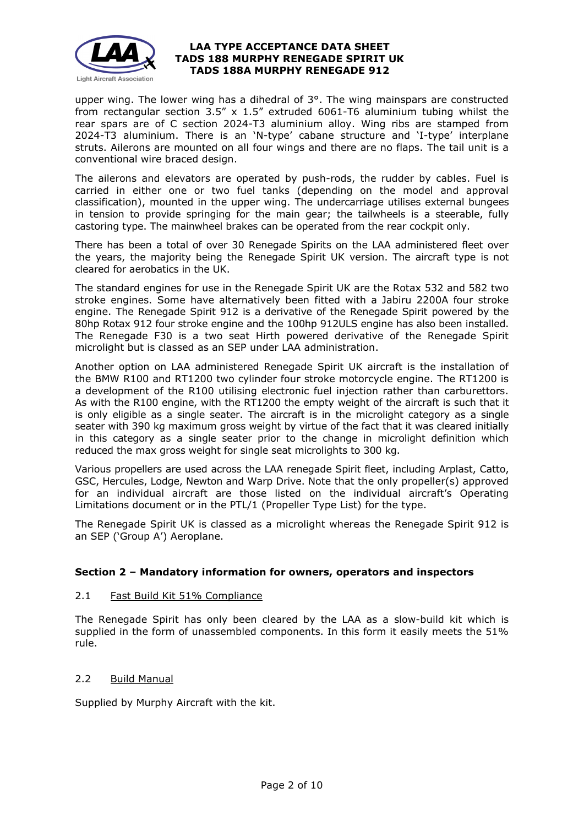

upper wing. The lower wing has a dihedral of 3°. The wing mainspars are constructed from rectangular section 3.5" x 1.5" extruded 6061-T6 aluminium tubing whilst the rear spars are of C section 2024-T3 aluminium alloy. Wing ribs are stamped from 2024-T3 aluminium. There is an 'N-type' cabane structure and 'I-type' interplane struts. Ailerons are mounted on all four wings and there are no flaps. The tail unit is a conventional wire braced design.

The ailerons and elevators are operated by push-rods, the rudder by cables. Fuel is carried in either one or two fuel tanks (depending on the model and approval classification), mounted in the upper wing. The undercarriage utilises external bungees in tension to provide springing for the main gear; the tailwheels is a steerable, fully castoring type. The mainwheel brakes can be operated from the rear cockpit only.

There has been a total of over 30 Renegade Spirits on the LAA administered fleet over the years, the majority being the Renegade Spirit UK version. The aircraft type is not cleared for aerobatics in the UK.

The standard engines for use in the Renegade Spirit UK are the Rotax 532 and 582 two stroke engines. Some have alternatively been fitted with a Jabiru 2200A four stroke engine. The Renegade Spirit 912 is a derivative of the Renegade Spirit powered by the 80hp Rotax 912 four stroke engine and the 100hp 912ULS engine has also been installed. The Renegade F30 is a two seat Hirth powered derivative of the Renegade Spirit microlight but is classed as an SEP under LAA administration.

Another option on LAA administered Renegade Spirit UK aircraft is the installation of the BMW R100 and RT1200 two cylinder four stroke motorcycle engine. The RT1200 is a development of the R100 utilising electronic fuel injection rather than carburettors. As with the R100 engine, with the RT1200 the empty weight of the aircraft is such that it is only eligible as a single seater. The aircraft is in the microlight category as a single seater with 390 kg maximum gross weight by virtue of the fact that it was cleared initially in this category as a single seater prior to the change in microlight definition which reduced the max gross weight for single seat microlights to 300 kg.

Various propellers are used across the LAA renegade Spirit fleet, including Arplast, Catto, GSC, Hercules, Lodge, Newton and Warp Drive. Note that the only propeller(s) approved for an individual aircraft are those listed on the individual aircraft's Operating Limitations document or in the PTL/1 (Propeller Type List) for the type.

The Renegade Spirit UK is classed as a microlight whereas the Renegade Spirit 912 is an SEP ('Group A') Aeroplane.

# **Section 2 – Mandatory information for owners, operators and inspectors**

## 2.1 Fast Build Kit 51% Compliance

The Renegade Spirit has only been cleared by the LAA as a slow-build kit which is supplied in the form of unassembled components. In this form it easily meets the 51% rule.

### 2.2 Build Manual

Supplied by Murphy Aircraft with the kit.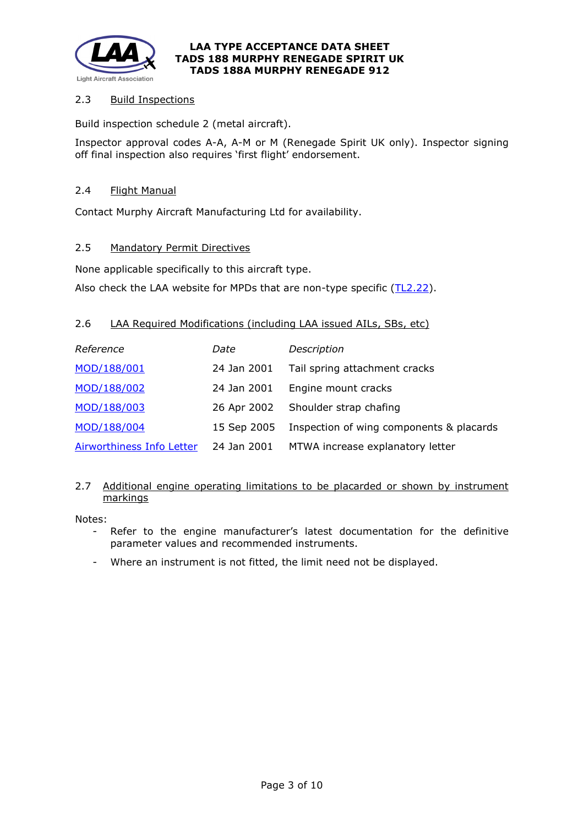

# 2.3 Build Inspections

Build inspection schedule 2 (metal aircraft).

Inspector approval codes A-A, A-M or M (Renegade Spirit UK only). Inspector signing off final inspection also requires 'first flight' endorsement.

## 2.4 Flight Manual

Contact Murphy Aircraft Manufacturing Ltd for availability.

# 2.5 Mandatory Permit Directives

None applicable specifically to this aircraft type.

Also check the LAA website for MPDs that are non-type specific [\(TL2.22\)](http://www.lightaircraftassociation.co.uk/engineering/TechnicalLeaflets/Operating%20An%20Aircraft/TL%202.22%20non-type%20specific%20MPDs.pdf).

# 2.6 LAA Required Modifications (including LAA issued AILs, SBs, etc)

| Reference                 | Date        | Description                              |
|---------------------------|-------------|------------------------------------------|
| MOD/188/001               | 24 Jan 2001 | Tail spring attachment cracks            |
| MOD/188/002               | 24 Jan 2001 | Engine mount cracks                      |
| MOD/188/003               | 26 Apr 2002 | Shoulder strap chafing                   |
| MOD/188/004               | 15 Sep 2005 | Inspection of wing components & placards |
| Airworthiness Info Letter | 24 Jan 2001 | MTWA increase explanatory letter         |

# 2.7 Additional engine operating limitations to be placarded or shown by instrument markings

Notes:

- Refer to the engine manufacturer's latest documentation for the definitive parameter values and recommended instruments.
- Where an instrument is not fitted, the limit need not be displayed.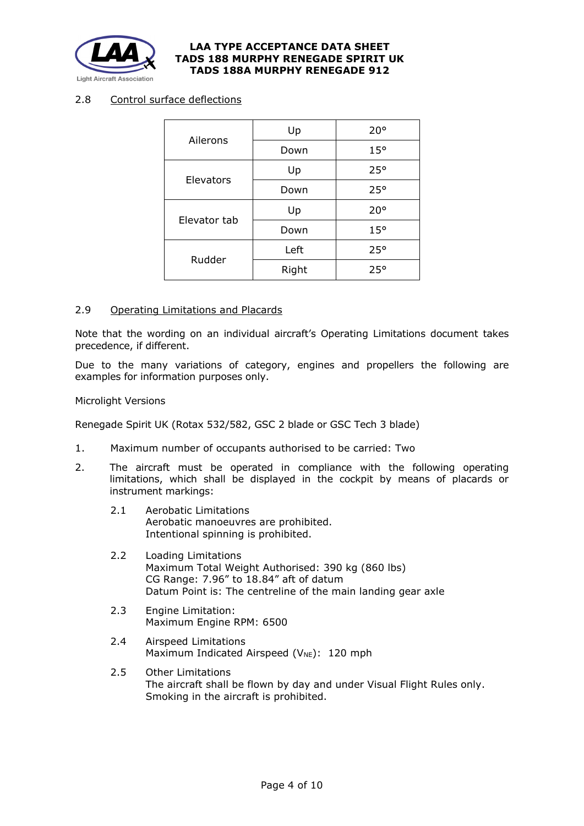

# 2.8 Control surface deflections

| Ailerons     | Up    | $20^{\circ}$ |
|--------------|-------|--------------|
|              | Down  | $15^{\circ}$ |
|              | Up    | 25°          |
| Elevators    | Down  | 25°          |
| Elevator tab | Up    | $20^{\circ}$ |
|              | Down  | $15^{\circ}$ |
| Rudder       | Left  | 25°          |
|              | Right | 25°          |

#### 2.9 Operating Limitations and Placards

Note that the wording on an individual aircraft's Operating Limitations document takes precedence, if different.

Due to the many variations of category, engines and propellers the following are examples for information purposes only.

#### Microlight Versions

Renegade Spirit UK (Rotax 532/582, GSC 2 blade or GSC Tech 3 blade)

- 1. Maximum number of occupants authorised to be carried: Two
- 2. The aircraft must be operated in compliance with the following operating limitations, which shall be displayed in the cockpit by means of placards or instrument markings:
	- 2.1 Aerobatic Limitations Aerobatic manoeuvres are prohibited. Intentional spinning is prohibited.
	- 2.2 Loading Limitations Maximum Total Weight Authorised: 390 kg (860 lbs) CG Range: 7.96" to 18.84" aft of datum Datum Point is: The centreline of the main landing gear axle
	- 2.3 Engine Limitation: Maximum Engine RPM: 6500
	- 2.4 Airspeed Limitations Maximum Indicated Airspeed ( $V_{NE}$ ): 120 mph
	- 2.5 Other Limitations The aircraft shall be flown by day and under Visual Flight Rules only. Smoking in the aircraft is prohibited.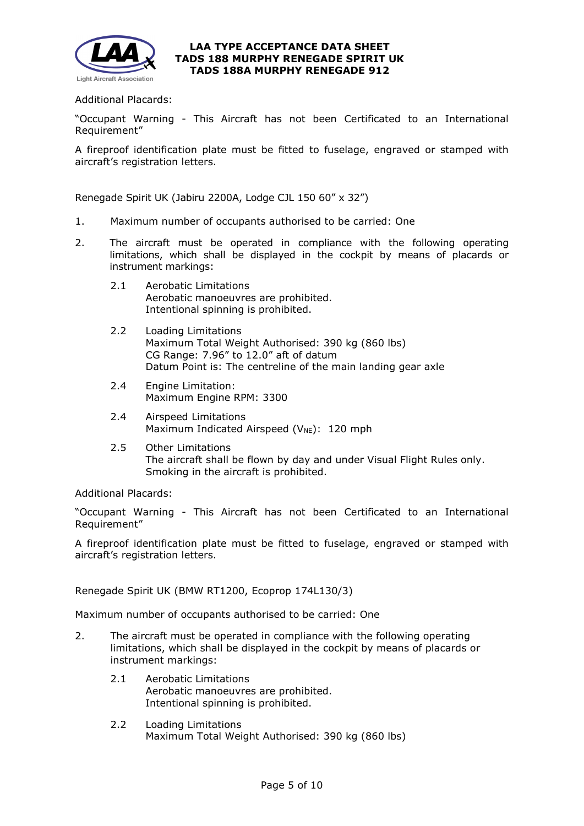

## Additional Placards:

"Occupant Warning - This Aircraft has not been Certificated to an International Requirement"

A fireproof identification plate must be fitted to fuselage, engraved or stamped with aircraft's registration letters.

Renegade Spirit UK (Jabiru 2200A, Lodge CJL 150 60" x 32")

- 1. Maximum number of occupants authorised to be carried: One
- 2. The aircraft must be operated in compliance with the following operating limitations, which shall be displayed in the cockpit by means of placards or instrument markings:
	- 2.1 Aerobatic Limitations Aerobatic manoeuvres are prohibited. Intentional spinning is prohibited.
	- 2.2 Loading Limitations Maximum Total Weight Authorised: 390 kg (860 lbs) CG Range: 7.96" to 12.0" aft of datum Datum Point is: The centreline of the main landing gear axle
	- 2.4 Engine Limitation: Maximum Engine RPM: 3300
	- 2.4 Airspeed Limitations Maximum Indicated Airspeed (V<sub>NE</sub>): 120 mph
	- 2.5 Other Limitations The aircraft shall be flown by day and under Visual Flight Rules only. Smoking in the aircraft is prohibited.

Additional Placards:

"Occupant Warning - This Aircraft has not been Certificated to an International Requirement"

A fireproof identification plate must be fitted to fuselage, engraved or stamped with aircraft's registration letters.

Renegade Spirit UK (BMW RT1200, Ecoprop 174L130/3)

Maximum number of occupants authorised to be carried: One

- 2. The aircraft must be operated in compliance with the following operating limitations, which shall be displayed in the cockpit by means of placards or instrument markings:
	- 2.1 Aerobatic Limitations Aerobatic manoeuvres are prohibited. Intentional spinning is prohibited.
	- 2.2 Loading Limitations Maximum Total Weight Authorised: 390 kg (860 lbs)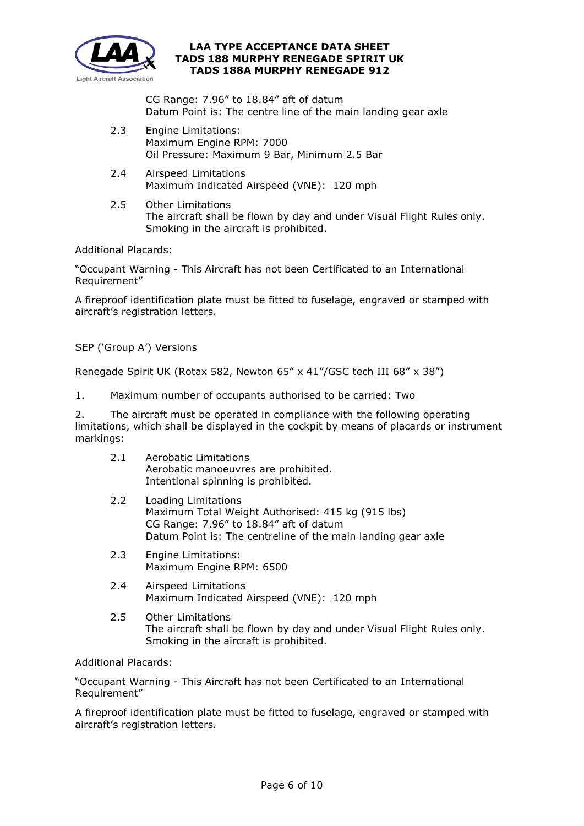

CG Range: 7.96" to 18.84" aft of datum Datum Point is: The centre line of the main landing gear axle

- 2.3 Engine Limitations: Maximum Engine RPM: 7000 Oil Pressure: Maximum 9 Bar, Minimum 2.5 Bar
- 2.4 Airspeed Limitations Maximum Indicated Airspeed (VNE): 120 mph
- 2.5 Other Limitations The aircraft shall be flown by day and under Visual Flight Rules only. Smoking in the aircraft is prohibited.

Additional Placards:

"Occupant Warning - This Aircraft has not been Certificated to an International Requirement"

A fireproof identification plate must be fitted to fuselage, engraved or stamped with aircraft's registration letters.

SEP ('Group A') Versions

Renegade Spirit UK (Rotax 582, Newton 65" x 41"/GSC tech III 68" x 38")

1. Maximum number of occupants authorised to be carried: Two

2. The aircraft must be operated in compliance with the following operating limitations, which shall be displayed in the cockpit by means of placards or instrument markings:

- 2.1 Aerobatic Limitations Aerobatic manoeuvres are prohibited. Intentional spinning is prohibited.
- 2.2 Loading Limitations Maximum Total Weight Authorised: 415 kg (915 lbs) CG Range: 7.96" to 18.84" aft of datum Datum Point is: The centreline of the main landing gear axle
- 2.3 Engine Limitations: Maximum Engine RPM: 6500
- 2.4 Airspeed Limitations Maximum Indicated Airspeed (VNE): 120 mph
- 2.5 Other Limitations The aircraft shall be flown by day and under Visual Flight Rules only. Smoking in the aircraft is prohibited.

Additional Placards:

"Occupant Warning - This Aircraft has not been Certificated to an International Requirement"

A fireproof identification plate must be fitted to fuselage, engraved or stamped with aircraft's registration letters.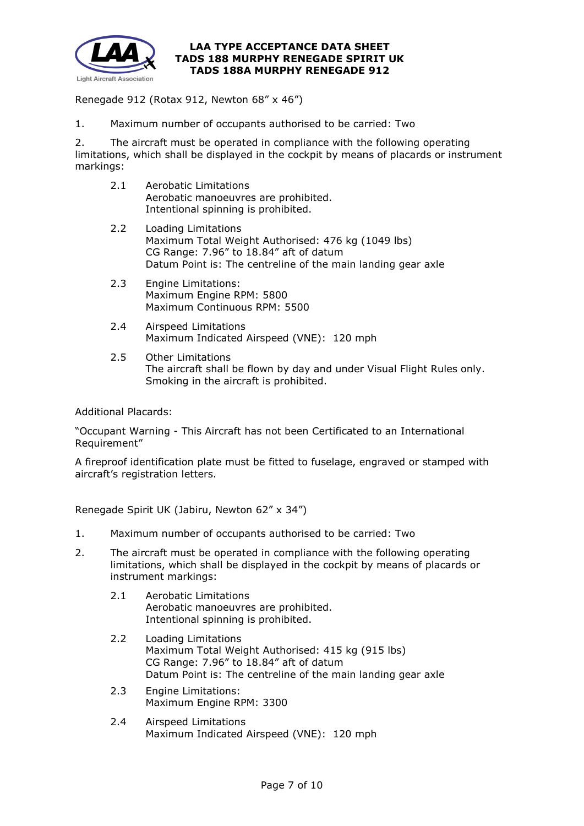

Renegade 912 (Rotax 912, Newton 68" x 46")

1. Maximum number of occupants authorised to be carried: Two

2. The aircraft must be operated in compliance with the following operating limitations, which shall be displayed in the cockpit by means of placards or instrument markings:

- 2.1 Aerobatic Limitations Aerobatic manoeuvres are prohibited. Intentional spinning is prohibited.
- 2.2 Loading Limitations Maximum Total Weight Authorised: 476 kg (1049 lbs) CG Range: 7.96" to 18.84" aft of datum Datum Point is: The centreline of the main landing gear axle
- 2.3 Engine Limitations: Maximum Engine RPM: 5800 Maximum Continuous RPM: 5500
- 2.4 Airspeed Limitations Maximum Indicated Airspeed (VNE): 120 mph
- 2.5 Other Limitations The aircraft shall be flown by day and under Visual Flight Rules only. Smoking in the aircraft is prohibited.

Additional Placards:

"Occupant Warning - This Aircraft has not been Certificated to an International Requirement"

A fireproof identification plate must be fitted to fuselage, engraved or stamped with aircraft's registration letters.

Renegade Spirit UK (Jabiru, Newton 62" x 34")

- 1. Maximum number of occupants authorised to be carried: Two
- 2. The aircraft must be operated in compliance with the following operating limitations, which shall be displayed in the cockpit by means of placards or instrument markings:
	- 2.1 Aerobatic Limitations Aerobatic manoeuvres are prohibited. Intentional spinning is prohibited.
	- 2.2 Loading Limitations Maximum Total Weight Authorised: 415 kg (915 lbs) CG Range: 7.96" to 18.84" aft of datum Datum Point is: The centreline of the main landing gear axle
	- 2.3 Engine Limitations: Maximum Engine RPM: 3300
	- 2.4 Airspeed Limitations Maximum Indicated Airspeed (VNE): 120 mph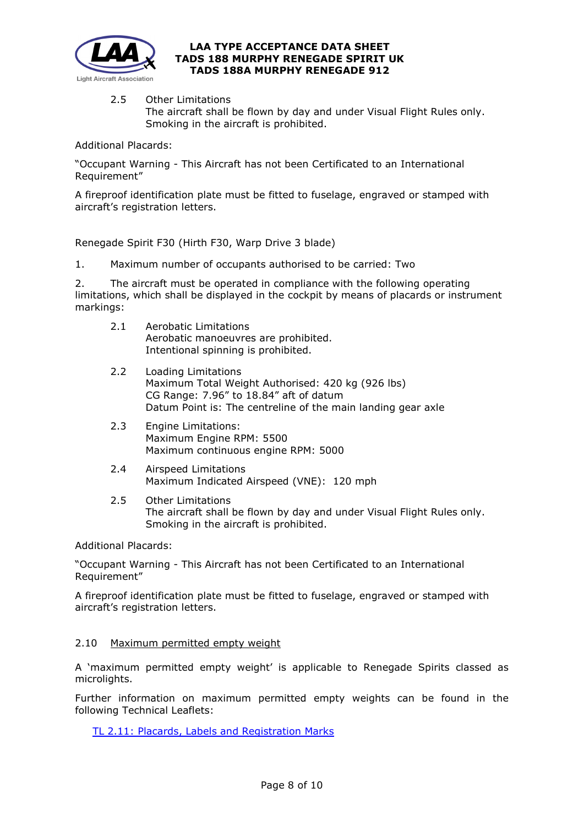

2.5 Other Limitations

The aircraft shall be flown by day and under Visual Flight Rules only. Smoking in the aircraft is prohibited.

Additional Placards:

"Occupant Warning - This Aircraft has not been Certificated to an International Requirement"

A fireproof identification plate must be fitted to fuselage, engraved or stamped with aircraft's registration letters.

Renegade Spirit F30 (Hirth F30, Warp Drive 3 blade)

1. Maximum number of occupants authorised to be carried: Two

2. The aircraft must be operated in compliance with the following operating limitations, which shall be displayed in the cockpit by means of placards or instrument markings:

- 2.1 Aerobatic Limitations Aerobatic manoeuvres are prohibited. Intentional spinning is prohibited.
- 2.2 Loading Limitations Maximum Total Weight Authorised: 420 kg (926 lbs) CG Range: 7.96" to 18.84" aft of datum Datum Point is: The centreline of the main landing gear axle
- 2.3 Engine Limitations: Maximum Engine RPM: 5500 Maximum continuous engine RPM: 5000
- 2.4 Airspeed Limitations Maximum Indicated Airspeed (VNE): 120 mph
- 2.5 Other Limitations The aircraft shall be flown by day and under Visual Flight Rules only. Smoking in the aircraft is prohibited.

Additional Placards:

"Occupant Warning - This Aircraft has not been Certificated to an International Requirement"

A fireproof identification plate must be fitted to fuselage, engraved or stamped with aircraft's registration letters.

# 2.10 Maximum permitted empty weight

A 'maximum permitted empty weight' is applicable to Renegade Spirits classed as microlights.

Further information on maximum permitted empty weights can be found in the following Technical Leaflets:

[TL 2.11: Placards, Labels and Registration Marks](http://www.lightaircraftassociation.co.uk/engineering/TechnicalLeaflets/Operating%20An%20Aircraft/TL%202.11%20Placards%20and%20Labels.pdf)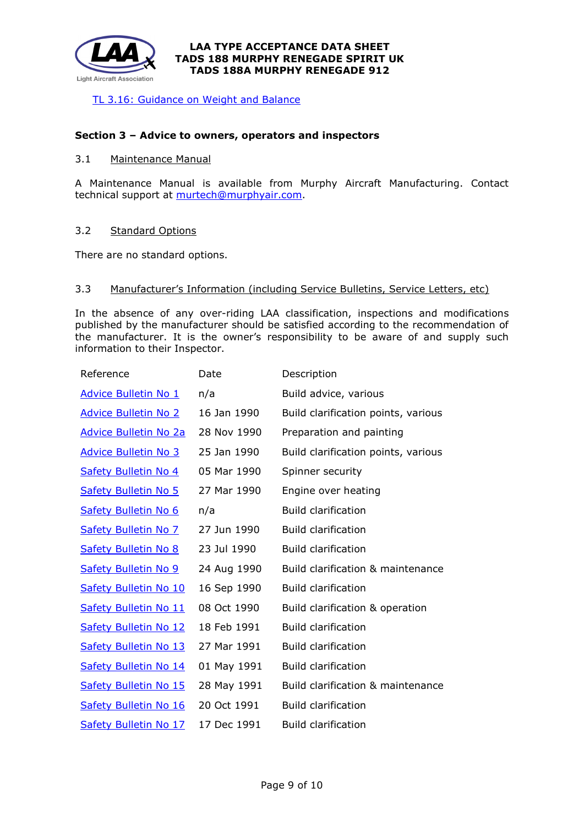

[TL 3.16: Guidance on Weight and Balance](http://www.lightaircraftassociation.co.uk/engineering/TechnicalLeaflets/Mods%20and%20Repairs/TL%203.16%20Weight%20and%20Balance%20Guidance%20Notes.pdf)

### **Section 3 – Advice to owners, operators and inspectors**

### 3.1 Maintenance Manual

A Maintenance Manual is available from Murphy Aircraft Manufacturing. Contact technical support at [murtech@murphyair.com.](mailto:murtech@murphyair.com)

### 3.2 Standard Options

There are no standard options.

#### 3.3 Manufacturer's Information (including Service Bulletins, Service Letters, etc)

In the absence of any over-riding LAA classification, inspections and modifications published by the manufacturer should be satisfied according to the recommendation of the manufacturer. It is the owner's responsibility to be aware of and supply such information to their Inspector.

| Reference                    | Date        | Description                         |
|------------------------------|-------------|-------------------------------------|
| <b>Advice Bulletin No 1</b>  | n/a         | Build advice, various               |
| <b>Advice Bulletin No 2</b>  | 16 Jan 1990 | Build clarification points, various |
| <b>Advice Bulletin No 2a</b> | 28 Nov 1990 | Preparation and painting            |
| <b>Advice Bulletin No 3</b>  | 25 Jan 1990 | Build clarification points, various |
| Safety Bulletin No 4         | 05 Mar 1990 | Spinner security                    |
| <b>Safety Bulletin No 5</b>  | 27 Mar 1990 | Engine over heating                 |
| Safety Bulletin No 6         | n/a         | <b>Build clarification</b>          |
| <b>Safety Bulletin No 7</b>  | 27 Jun 1990 | <b>Build clarification</b>          |
| <b>Safety Bulletin No 8</b>  | 23 Jul 1990 | <b>Build clarification</b>          |
| <b>Safety Bulletin No 9</b>  | 24 Aug 1990 | Build clarification & maintenance   |
| <b>Safety Bulletin No 10</b> | 16 Sep 1990 | <b>Build clarification</b>          |
| <b>Safety Bulletin No 11</b> | 08 Oct 1990 | Build clarification & operation     |
| <b>Safety Bulletin No 12</b> | 18 Feb 1991 | <b>Build clarification</b>          |
| <b>Safety Bulletin No 13</b> | 27 Mar 1991 | Build clarification                 |
| <b>Safety Bulletin No 14</b> | 01 May 1991 | <b>Build clarification</b>          |
| <b>Safety Bulletin No 15</b> | 28 May 1991 | Build clarification & maintenance   |
| <b>Safety Bulletin No 16</b> | 20 Oct 1991 | <b>Build clarification</b>          |
| <b>Safety Bulletin No 17</b> | 17 Dec 1991 | <b>Build clarification</b>          |